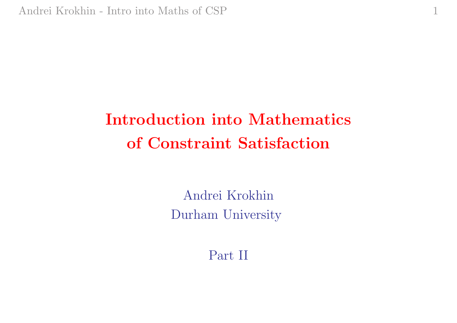# Introduction into Mathematics of Constraint Satisfaction

1

Andrei Krokhin Durham University

Part II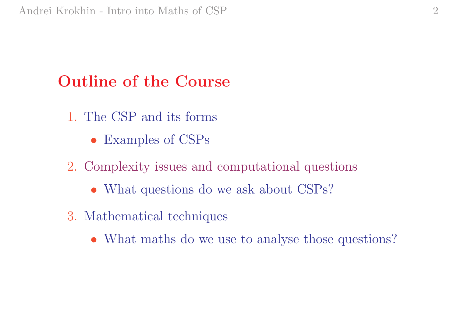## Outline of the Course

- 1. The CSP and its forms
	- Examples of CSPs
- 2. Complexity issues and computational questions
	- What questions do we ask about CSPs?
- 3. Mathematical techniques
	- What maths do we use to analyse those questions?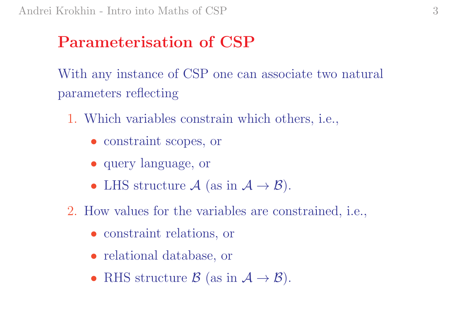#### Parameterisation of CSP

With any instance of CSP one can associate two natural parameters reflecting

- 1. Which variables constrain which others, i.e.,
	- constraint scopes, or
	- query language, or
	- LHS structure  $\mathcal{A}$  (as in  $\mathcal{A} \to \mathcal{B}$ ).
- 2. How values for the variables are constrained, i.e.,
	- constraint relations, or
	- relational database, or
	- RHS structure  $\mathcal{B}$  (as in  $\mathcal{A} \to \mathcal{B}$ ).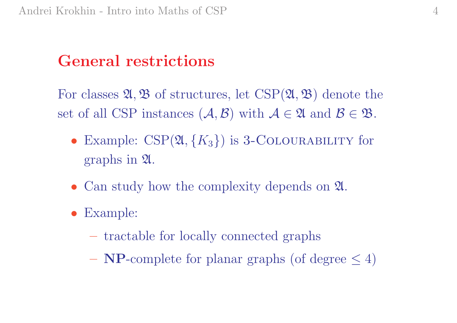#### General restrictions

For classes  $\mathfrak{A}, \mathfrak{B}$  of structures, let  $\mathrm{CSP}(\mathfrak{A}, \mathfrak{B})$  denote the set of all CSP instances  $(A, \mathcal{B})$  with  $\mathcal{A} \in \mathfrak{A}$  and  $\mathcal{B} \in \mathfrak{B}$ .

- Example:  $CSP(\mathfrak{A}, \{K_3\})$  is 3-COLOURABILITY for graphs in A.
- Can study how the complexity depends on  $\mathfrak{A}$ .
- Example:
	- tractable for locally connected graphs
	- $-$  NP-complete for planar graphs (of degree  $\leq 4$ )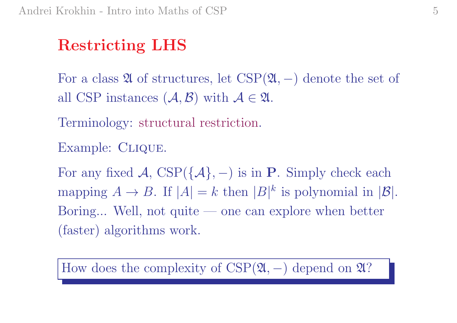# Restricting LHS

For a class  $\mathfrak A$  of structures, let  $\mathrm{CSP}(\mathfrak A,-)$  denote the set of all CSP instances  $(A, \mathcal{B})$  with  $\mathcal{A} \in \mathfrak{A}$ .

Terminology: structural restriction.

Example: CLIQUE.

For any fixed  $\mathcal{A}, \text{CSP}(\{\mathcal{A}\}, -)$  is in P. Simply check each mapping  $A \to B$ . If  $|A| = k$  then  $|B|^k$  is polynomial in  $|B|$ . Boring... Well, not quite — one can explore when better (faster) algorithms work.

How does the complexity of  $CSP(2l, -)$  depend on 2l?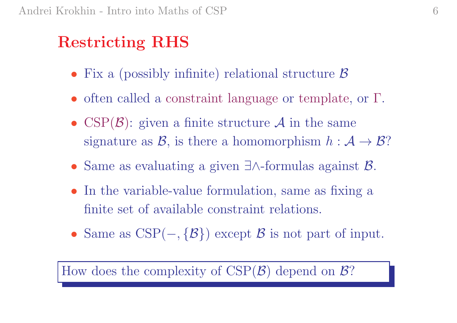### Restricting RHS

- Fix a (possibly infinite) relational structure  $\beta$
- often called a constraint language or template, or Γ.
- CSP $(\mathcal{B})$ : given a finite structure A in the same signature as  $\mathcal{B}$ , is there a homomorphism  $h: \mathcal{A} \to \mathcal{B}$ ?
- Same as evaluating <sup>a</sup> given ∃∧-formulas against B.
- In the variable-value formulation, same as fixing a finite set of available constraint relations.
- Same as CSP(  $,\{\mathcal{B}\})$  except  $\mathcal B$  is not part of input.

How does the complexity of  $CSP(\mathcal{B})$  depend on  $\mathcal{B}$ ?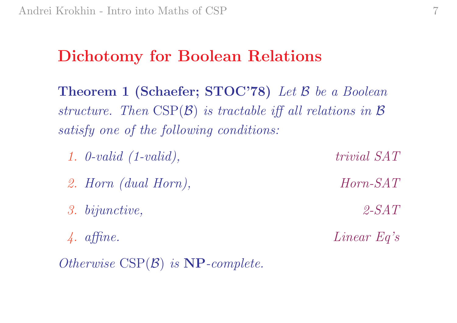#### Dichotomy for Boolean Relations

 $\bf Theorem~1~(Schaefer; STOC'78)$  Let  ${\cal B}$  be a Boolean structure. Then  $CSP(\mathcal{B})$  is tractable iff all relations in  $\mathcal B$ satisfy one of the following conditions:

- 1. 0-valid (1-valid), trivial SAT
- 2. Horn (dual Horn), Horn-SAT
- 3. bijunctive, 2-SAT
- 4. affine. Linear Eq's

 $Otherwise \ \text{CSP}(\mathcal{B}) \ \textit{is} \ \textbf{NP} \textit{-complete}.$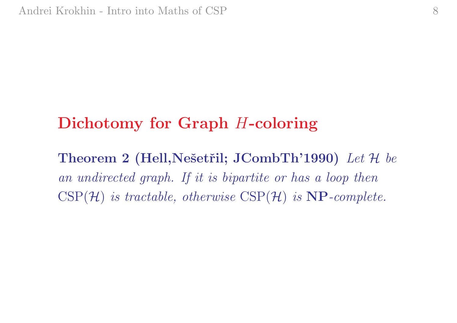#### Dichotomy for Graph H-coloring

Theorem 2 (Hell, Nešetřil; J $CombTh'1990$ ) Let H be an undirected graph. If it is bipartite or has a loop then  $\mathrm{CSP}(\mathcal{H})$  is tractable, otherwise  $\mathrm{CSP}(\mathcal{H})$  is  $\mathbf{NP}\text{-}complete$ .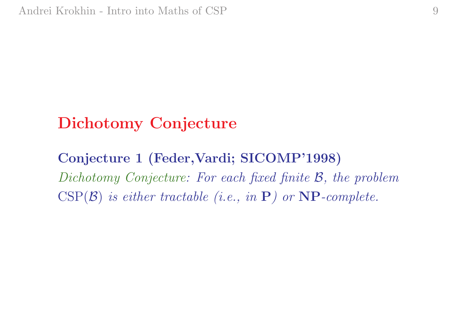#### Dichotomy Conjecture

#### Conjecture <sup>1</sup> (Feder,Vardi; SICOMP'1998) Dichotomy Conjecture: For each fixed finite B, the problem  $\mathrm{CSP}(\mathcal{B})$  is either tractable (i.e., in  $\mathbf{P})$  or  $\mathbf{NP}\text{-complete}$ .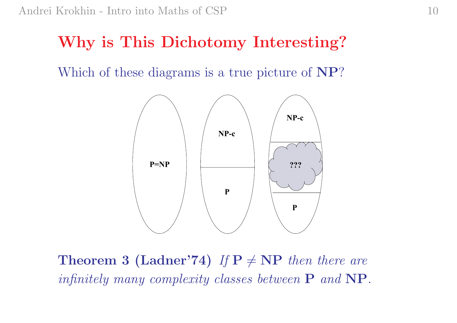#### Why is This Dichotomy Interesting?

Which of these diagrams is a true picture of NP?



**Theorem 3 (Ladner'74)** If  $P \neq NP$  then there are infinitely many complexity classes between  $\mathbf P$  and  $\mathbf {NP}.$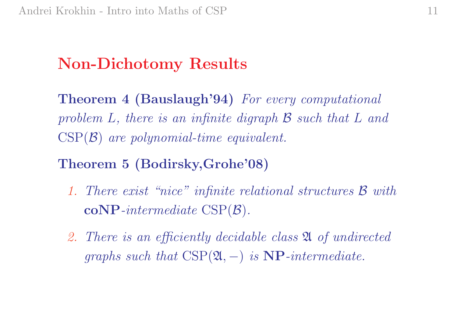#### Non-Dichotomy Results

Theorem <sup>4</sup> (Bauslaugh'94) For every computational problem L, there is an infinite digraph  $\mathcal B$  such that L and  $\mathrm{CSP}(\mathcal{B})$  are polynomial-time equivalent.

#### Theorem <sup>5</sup> (Bodirsky,Grohe'08)

- 1. There exist "nice" infinite relational structures B with  $\mathbf{coNP}\textrm{-}intermediate\ \textrm{CSP}(\mathcal{B}) .$
- 2. There is an efficiently decidable class A of undirected  $graphs \ such \ that \ \text{CSP}(\mathfrak{A},-) \ \ is \ \textbf{NP}-intermediate.$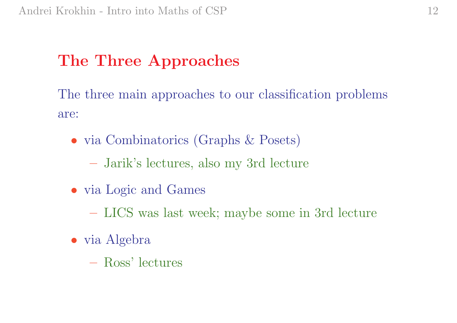### The Three Approaches

The three main approaches to our classification problems are:

- via Combinatorics (Graphs & Posets)
	- Jarik's lectures, also my 3rd lecture
- via Logic and Games
	- LICS was last week; maybe some in 3rd lecture
- via Algebra
	- Ross' lectures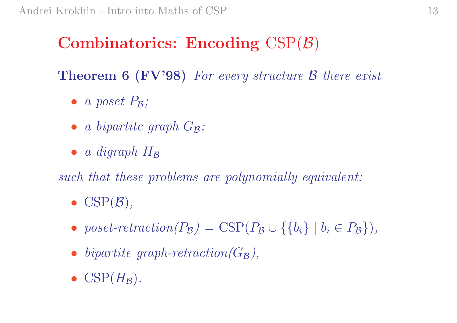### ${\bf Combinatorics:}\,\, {\bf Encoding}\,\, {\rm CSP}({\cal B})$

Theorem 6 (FV'98) For every structure B there exist

- a poset  $P_B$ ;
- a bipartite graph  $G_{\mathcal{B}}$ ;
- $\bullet$  a digraph  $H_{\mathcal{B}}$

such that these problems are polynomially equivalent:

- $CSP(\mathcal{B}),$
- poset-retraction( $P_{\mathcal{B}}$ ) = CSP( $P_{\mathcal{B}} \cup \{\{b_i\} \mid b_i \in P_{\mathcal{B}}\}\)$ ,
- bipartite graph-retraction  $(G_{\mathcal{B}})$ ,
- $CSP(H_{\mathcal{B}})$ .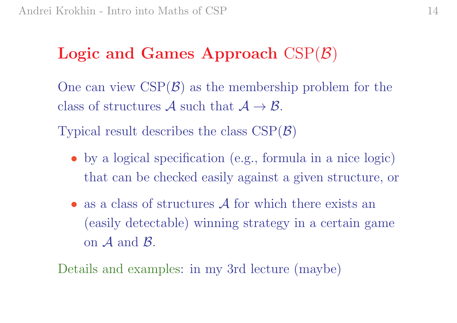#### $\bf{Logic}$  and  $\bf{Games}$  Approach  $\mathrm{CSP}(\mathcal{B})$

One can view  $\mathrm{CSP}(\mathcal{B})$  as the membership problem for the class of structures  $\mathcal A$  such that  $\mathcal A \to \mathcal B$ .

Typical result describes the class  $CSP(\mathcal{B})$ 

- by <sup>a</sup> logical specification (e.g., formula in <sup>a</sup> nice logic) that can be checked easily against <sup>a</sup> given structure, or
- $\bullet$  as a class of structures  $\mathcal A$  for which there exists an (easily detectable) winning strategy in <sup>a</sup> certain game on  $\mathcal A$  and  $\mathcal B$ .

Details and examples: in my 3rd lecture (maybe)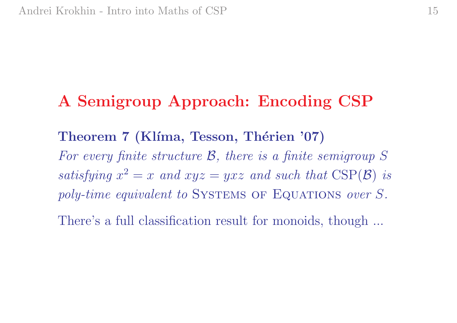#### A Semigroup Approach: Encoding CSP

# Theorem 7 (Klíma, Tesson, Thérien '07) For every finite structure B, there is <sup>a</sup> finite semigroup S  $satisfying \; x^2=x \;\: and \; xyz=yxz \;\: and \; such \; that \; CSP(\mathcal{B}) \;\: is$ poly-time equivalent to SYSTEMS OF EQUATIONS over S.

There's a full classification result for monoids, though ...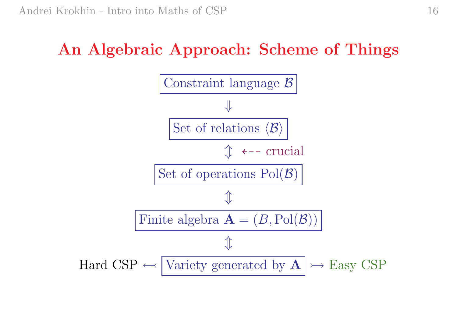# An Algebraic Approach: Scheme of Things

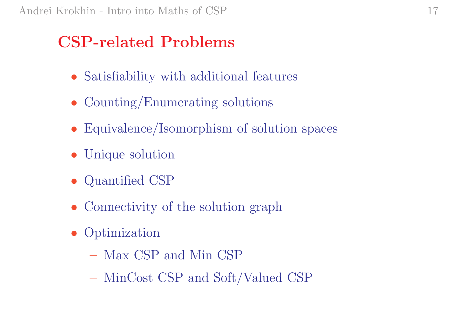#### CSP-related Problems

- Satisfiability with additional features
- Counting/Enumerating solutions
- Equivalence/Isomorphism of solution spaces
- Unique solution
- Quantified CSP
- Connectivity of the solution graph
- **Optimization** 
	- Max CSP and Min CSP
	- MinCost CSP and Soft/Valued CSP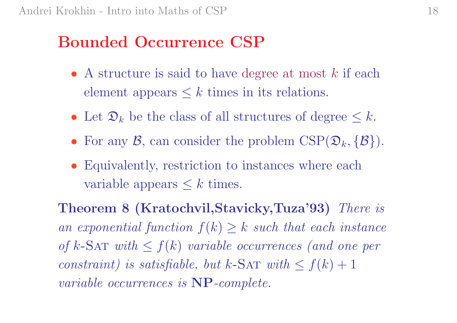#### Bounded Occurrence CSP

- A structure is said to have degree at most  $k$  if each element appears  $\leq k$  times in its relations.
- Let  $\mathfrak{D}_k$  be the class of all structures of degree  $\leq k$ .
- For any  $\mathcal{B}$ , can consider the problem  $CSP(\mathfrak{D}_k, \{\mathcal{B}\})$ .
- Equivalently, restriction to instances where each variable appears  $\leq k$  times.

Theorem <sup>8</sup> (Kratochvil,Stavicky,Tuza'93) There is an exponential function  $f(k) \geq k$  such that each instance of k-Sa $\texttt{T}$  with  $\leq f(k)$  variable occurrences (and one per  $constraint)$  is satisfiable, but k-SAT with  $\leq f(k) + 1$ variable occurrences is NP-complete.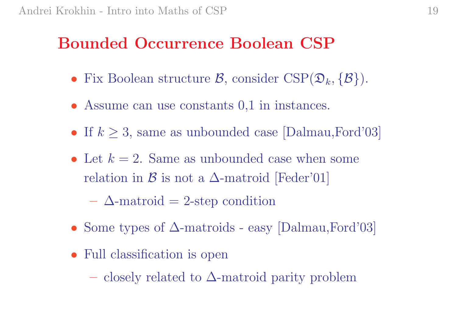#### Bounded Occurrence Boolean CSP

- Fix Boolean structure  $\mathcal{B}$ , consider  $CSP(\mathcal{D}_k, {\{\mathcal{B}\}})$ .
- Assume can use constants 0,1 in instances.
- If  $k \geq 3$ , same as unbounded case [Dalmau, Ford'03]
- Let  $k = 2$ . Same as unbounded case when some relation in  $\mathcal B$  is not a  $\Delta\text{-matroid}$  [Feder'01]

 $-\Delta$ -matroid = 2-step condition

- Some types of  $\Delta$ -matroids easy [Dalmau, Ford'03]
- Full classification is open
	- closely related to ∆-matroid parity problem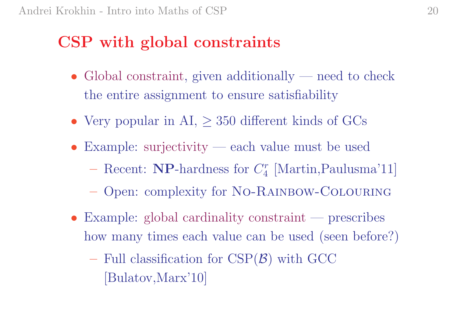#### CSP with global constraints

- Global constraint, given additionally need to check the entire assignment to ensure satisfiability
- Very popular in  $AI$ ,  $\geq$  350 different kinds of GCs
- Example: surjectivity each value must be used
	- Recent: **NP**-hardness for  $C_4^r$  [Martin, Paulusma'11]
	- Open: complexity for No-Rainbow-Colouring
- Example: global cardinality constraint prescribes how many times each value can be used (seen before?)
	- $-$  Full classification for CSP $(\mathcal{B})$  with GCC [Bulatov,Marx'10]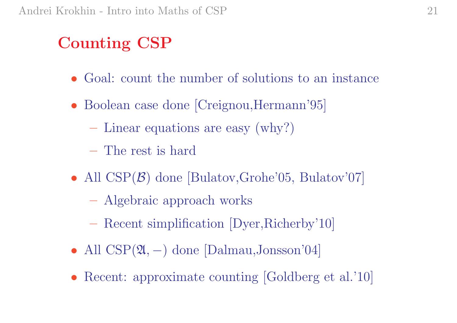# Counting CSP

- Goal: count the number of solutions to an instance
- Boolean case done [Creignou, Hermann'95]
	- Linear equations are easy (why?)
	- The rest is hard
- All CSP( $\mathcal{B}$ ) done [Bulatov,Grohe'05, Bulatov'07]
	- Algebraic approach works
	- Recent simplification [Dyer,Richerby'10]
- All CSP(2, −) done [Dalmau,Jonsson'04]
- Recent: approximate counting [Goldberg et al.'10]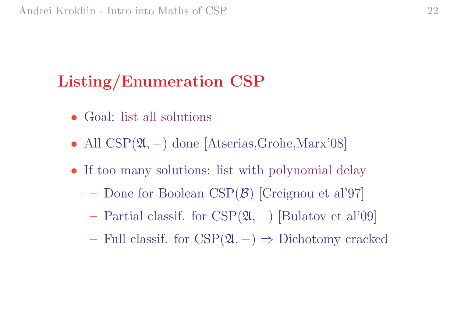# Listing/Enumeration CSP

- Goal: list all solutions
- All CSP(2, -) done [Atserias, Grohe, Marx'08]
- If too many solutions: list with polynomial delay
	- Done for Boolean CSP( B) [Creignou et al'97]
	- Partial classif. for CSP( A, <sup>−</sup>) [Bulatov et al'09]
	- Full classif. for  $CSP(\mathfrak{A},-)$  ⇒ Dichotomy cracked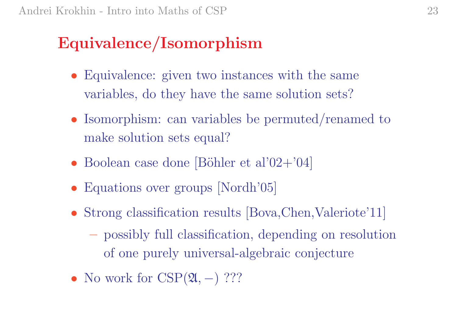# Equivalence/Isomorphism

- Equivalence: given two instances with the same variables, do they have the same solution sets?
- Isomorphism: can variables be permuted/renamed to make solution sets equal?
- Boolean case done [Böhler et al'02+'04]
- Equations over groups [Nordh'05]
- Strong classification results [Bova, Chen, Valeriote' 11]
	- possibly full classification, depending on resolution of one purely universal-algebraic conjecture
- No work for  $CSP(2l, -)$  ???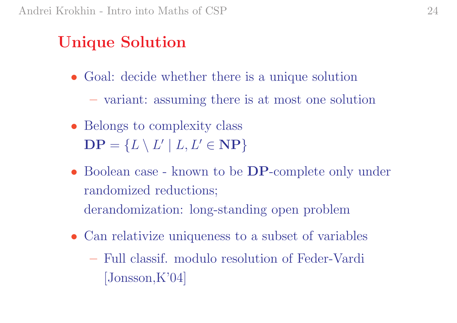### Unique Solution

- Goal: decide whether there is a unique solution – variant: assuming there is at most one solution
- Belongs to complexity class  $\mathbf{DP}=\{L\setminus L'\mid L,L'\in\mathbf{NP}\}$
- Boolean case known to be **DP**-complete only under randomized reductions;
	- derandomization: long-standing open problem
- Can relativize uniqueness to <sup>a</sup> subset of variables
	- Full classif. modulo resolution of Feder-Vardi [Jonsson,K'04]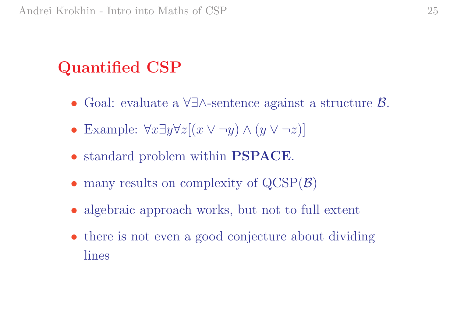# Quantified CSP

- Goal: evaluate <sup>a</sup> ∀∃∧-sentence against <sup>a</sup> structure B.
- Example:  $\forall x \exists y \forall z [(x \lor \neg y) \land (y \lor \neg z)]$
- standard problem within PSPACE.
- many results on complexity of  $QCSP(B)$
- algebraic approach works, but not to full extent
- there is not even a good conjecture about dividing lines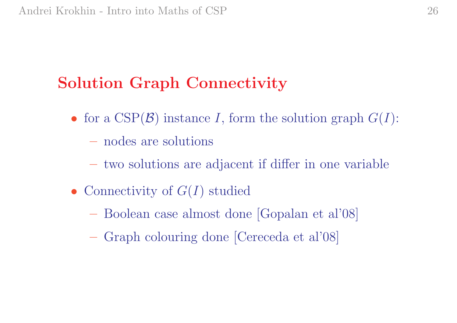# Solution Graph Connectivity

- for a  $CSP(\mathcal{B})$  instance I, form the solution graph  $G(I)$ :
	- nodes are solutions
	- two solutions are adjacent if differ in one variable
- Connectivity of  $G(I)$  studied
	- Boolean case almost done [Gopalan et al'08]
	- Graph colouring done [Cereceda et al'08]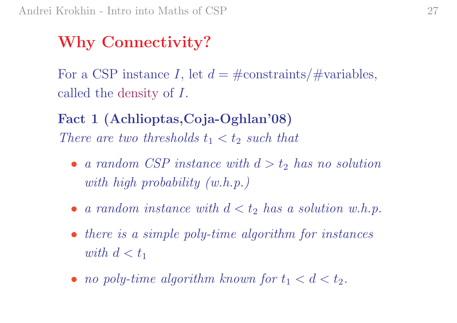### Why Connectivity?

For a CSP instance *I*, let  $d = #$ constraints/ $#$ variables, called the density of I.

Fact <sup>1</sup> (Achlioptas,Coja-Oghlan'08) There are two thresholds  $t_1 < t_2$  such that

- a random CSP instance with  $d > t_2$  has no solution with high probability (w.h.p.)
- a random instance with  $d < t_2$  has a solution w.h.p.
- there is a simple poly-time algorithm for instances  $with\,\,d < t_1$
- no poly-time algorithm known for  $t_1 < d < t_2$ .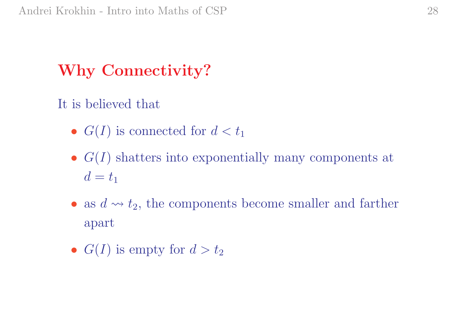# Why Connectivity?

It is believed that

- $G(I)$  is connected for  $d < t_1$
- $G(I)$  shatters into exponentially many components at  $d = t_1$
- as  $d \nightharpoonup t_2$ , the components become smaller and farther apart
- $G(I)$  is empty for  $d > t_2$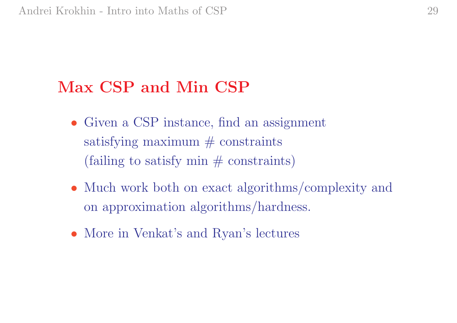### Max CSP and Min CSP

- Given a CSP instance, find an assignment satisfying maximum  $#$  constraints  $(failing to satisfy min  $\#$  constraints)$
- Much work both on exact algorithms/complexity and on approximation algorithms/hardness.
- More in Venkat's and Ryan's lectures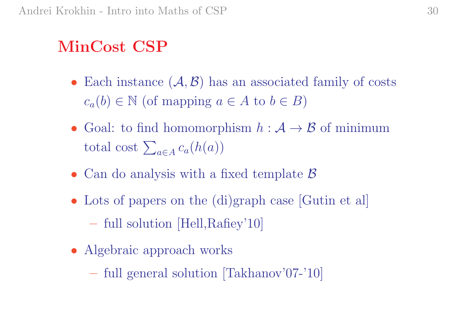# MinCost CSP

- Each instance  $(A, B)$  has an associated family of costs  $c_a(b) \in \mathbb{N}$  (of mapping  $a \in A$  to  $b \in B$ )
- Goal: to find homomorphism  $h : \mathcal{A} \to \mathcal{B}$  of minimum Goal: to find nomomorp<br>total cost  $\sum_{a \in A} c_a(h(a))$
- Can do analysis with a fixed template  $\beta$
- Lots of papers on the (di)graph case [Gutin et al]
	- full solution [Hell,Rafiey'10]
- Algebraic approach works
	- full genera<sup>l</sup> solution [Takhanov'07-'10]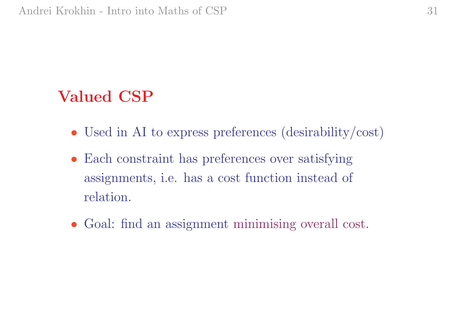#### Valued CSP

- Used in AI to express preferences (desirability/cost)
- Each constraint has preferences over satisfying assignments, i.e. has <sup>a</sup> cost function instead of relation.
- Goal: find an assignment minimising overall cost.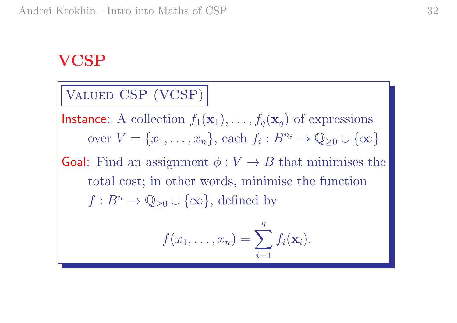#### VCSP

Valued CSP (VCSP)

 $\mathsf{Instance}\colon \ A \ \text{collection}\ f_1(\mathbf{x}_1),\ldots,f_q(\mathbf{x}_q) \ \text{of expressions}$ over  $V = \{x_1, \ldots, x_n\}$ , each  $f_i : B^{n_i} \to \mathbb{Q}_{\geq 0} \cup \{\infty\}$ 

**Goal:** Find an assignment  $\phi: V \to B$  that minimises the total cost; in other words, minimise the function  $f: B^n \to \mathbb{Q}_{\geq 0} \cup {\infty}$ , defined by

$$
f(x_1,\ldots,x_n)=\sum_{i=1}^q f_i(\mathbf{x}_i).
$$